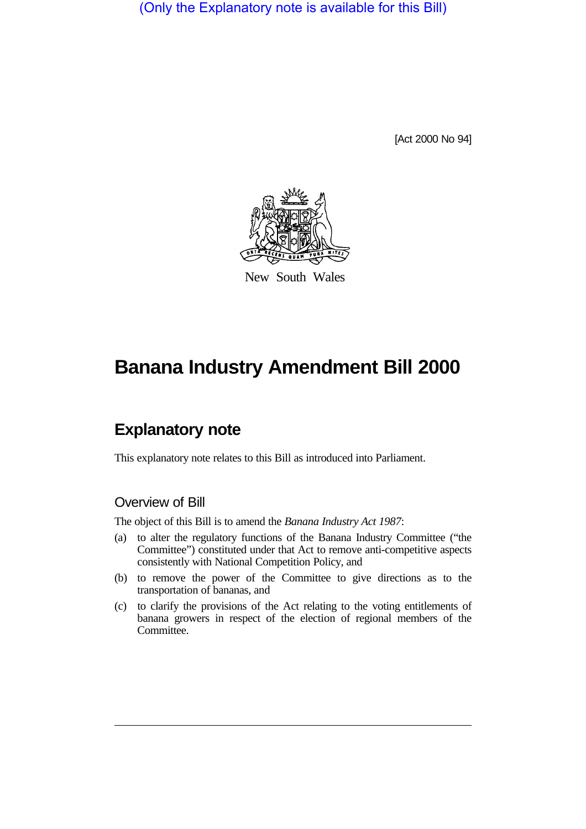(Only the Explanatory note is available for this Bill)

[Act 2000 No 94]



New South Wales

# **Banana Industry Amendment Bill 2000**

## **Explanatory note**

This explanatory note relates to this Bill as introduced into Parliament.

### Overview of Bill

The object of this Bill is to amend the *Banana Industry Act 1987*:

- (a) to alter the regulatory functions of the Banana Industry Committee ("the Committee") constituted under that Act to remove anti-competitive aspects consistently with National Competition Policy, and
- (b) to remove the power of the Committee to give directions as to the transportation of bananas, and
- (c) to clarify the provisions of the Act relating to the voting entitlements of banana growers in respect of the election of regional members of the Committee.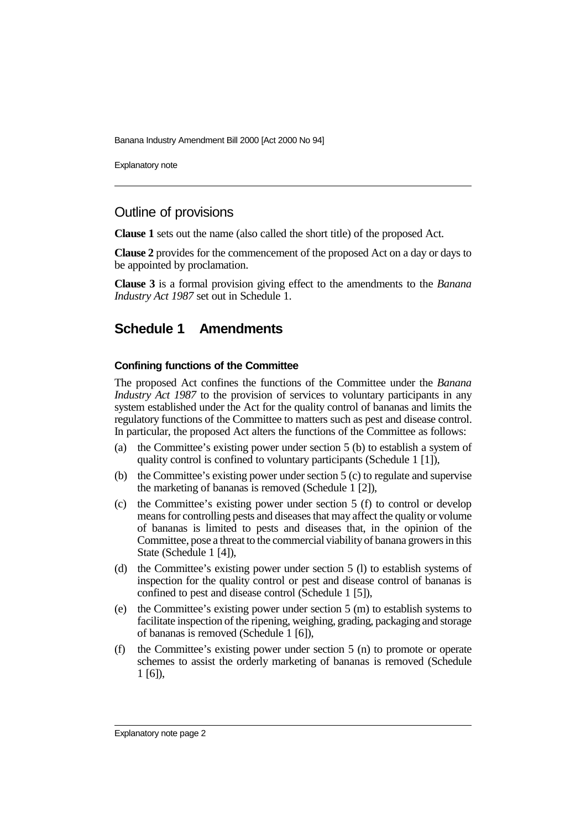Explanatory note

## Outline of provisions

**Clause 1** sets out the name (also called the short title) of the proposed Act.

**Clause 2** provides for the commencement of the proposed Act on a day or days to be appointed by proclamation.

**Clause 3** is a formal provision giving effect to the amendments to the *Banana Industry Act 1987* set out in Schedule 1.

## **Schedule 1 Amendments**

#### **Confining functions of the Committee**

The proposed Act confines the functions of the Committee under the *Banana Industry Act 1987* to the provision of services to voluntary participants in any system established under the Act for the quality control of bananas and limits the regulatory functions of the Committee to matters such as pest and disease control. In particular, the proposed Act alters the functions of the Committee as follows:

- (a) the Committee's existing power under section 5 (b) to establish a system of quality control is confined to voluntary participants (Schedule 1 [1]),
- (b) the Committee's existing power under section 5 (c) to regulate and supervise the marketing of bananas is removed (Schedule 1 [2]),
- (c) the Committee's existing power under section 5 (f) to control or develop means for controlling pests and diseases that may affect the quality or volume of bananas is limited to pests and diseases that, in the opinion of the Committee, pose a threat to the commercial viability of banana growers in this State (Schedule 1 [4]),
- (d) the Committee's existing power under section 5 (l) to establish systems of inspection for the quality control or pest and disease control of bananas is confined to pest and disease control (Schedule 1 [5]),
- (e) the Committee's existing power under section 5 (m) to establish systems to facilitate inspection of the ripening, weighing, grading, packaging and storage of bananas is removed (Schedule 1 [6]),
- (f) the Committee's existing power under section 5 (n) to promote or operate schemes to assist the orderly marketing of bananas is removed (Schedule 1 [6]),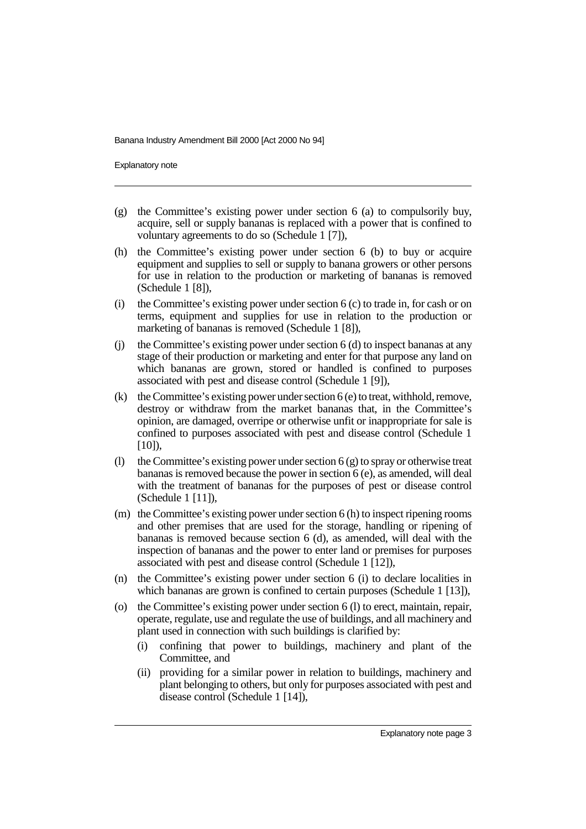Explanatory note

- (g) the Committee's existing power under section 6 (a) to compulsorily buy, acquire, sell or supply bananas is replaced with a power that is confined to voluntary agreements to do so (Schedule 1 [7]),
- (h) the Committee's existing power under section 6 (b) to buy or acquire equipment and supplies to sell or supply to banana growers or other persons for use in relation to the production or marketing of bananas is removed (Schedule 1 [8]),
- (i) the Committee's existing power under section  $6$  (c) to trade in, for cash or on terms, equipment and supplies for use in relation to the production or marketing of bananas is removed (Schedule 1 [8]),
- $(i)$  the Committee's existing power under section 6 (d) to inspect bananas at any stage of their production or marketing and enter for that purpose any land on which bananas are grown, stored or handled is confined to purposes associated with pest and disease control (Schedule 1 [9]),
- (k) the Committee's existing power under section  $6$  (e) to treat, withhold, remove, destroy or withdraw from the market bananas that, in the Committee's opinion, are damaged, overripe or otherwise unfit or inappropriate for sale is confined to purposes associated with pest and disease control (Schedule 1  $[10]$ ),
- (l) the Committee's existing power under section  $6$  (g) to spray or otherwise treat bananas is removed because the power in section 6 (e), as amended, will deal with the treatment of bananas for the purposes of pest or disease control (Schedule 1 [11]),
- (m) the Committee's existing power under section 6 (h) to inspect ripening rooms and other premises that are used for the storage, handling or ripening of bananas is removed because section 6 (d), as amended, will deal with the inspection of bananas and the power to enter land or premises for purposes associated with pest and disease control (Schedule 1 [12]),
- (n) the Committee's existing power under section 6 (i) to declare localities in which bananas are grown is confined to certain purposes (Schedule 1 [13]),
- (o) the Committee's existing power under section 6 (l) to erect, maintain, repair, operate, regulate, use and regulate the use of buildings, and all machinery and plant used in connection with such buildings is clarified by:
	- (i) confining that power to buildings, machinery and plant of the Committee, and
	- (ii) providing for a similar power in relation to buildings, machinery and plant belonging to others, but only for purposes associated with pest and disease control (Schedule 1 [14]),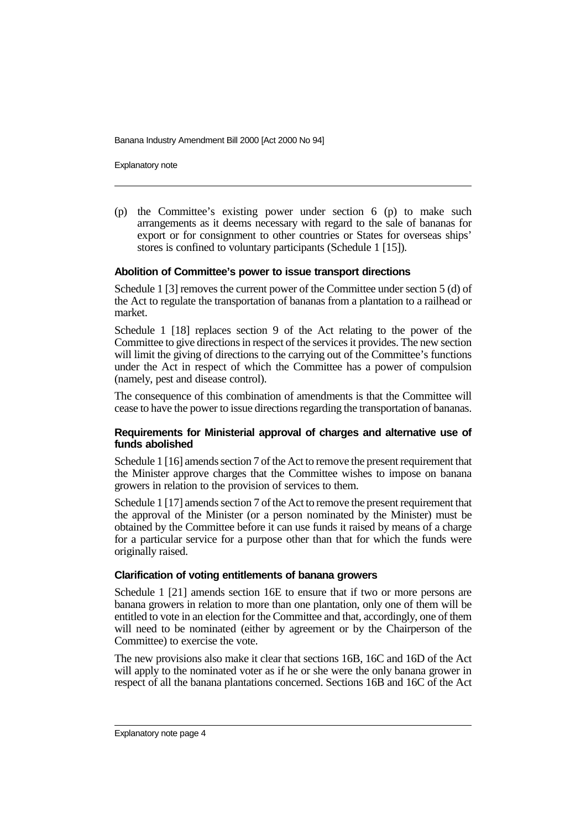Explanatory note

(p) the Committee's existing power under section 6 (p) to make such arrangements as it deems necessary with regard to the sale of bananas for export or for consignment to other countries or States for overseas ships' stores is confined to voluntary participants (Schedule 1 [15]).

#### **Abolition of Committee's power to issue transport directions**

Schedule 1 [3] removes the current power of the Committee under section 5 (d) of the Act to regulate the transportation of bananas from a plantation to a railhead or market.

Schedule 1 [18] replaces section 9 of the Act relating to the power of the Committee to give directions in respect of the services it provides. The new section will limit the giving of directions to the carrying out of the Committee's functions under the Act in respect of which the Committee has a power of compulsion (namely, pest and disease control).

The consequence of this combination of amendments is that the Committee will cease to have the power to issue directions regarding the transportation of bananas.

#### **Requirements for Ministerial approval of charges and alternative use of funds abolished**

Schedule 1 [16] amends section 7 of the Act to remove the present requirement that the Minister approve charges that the Committee wishes to impose on banana growers in relation to the provision of services to them.

Schedule 1 [17] amends section 7 of the Act to remove the present requirement that the approval of the Minister (or a person nominated by the Minister) must be obtained by the Committee before it can use funds it raised by means of a charge for a particular service for a purpose other than that for which the funds were originally raised.

#### **Clarification of voting entitlements of banana growers**

Schedule 1 [21] amends section 16E to ensure that if two or more persons are banana growers in relation to more than one plantation, only one of them will be entitled to vote in an election for the Committee and that, accordingly, one of them will need to be nominated (either by agreement or by the Chairperson of the Committee) to exercise the vote.

The new provisions also make it clear that sections 16B, 16C and 16D of the Act will apply to the nominated voter as if he or she were the only banana grower in respect of all the banana plantations concerned. Sections 16B and 16C of the Act